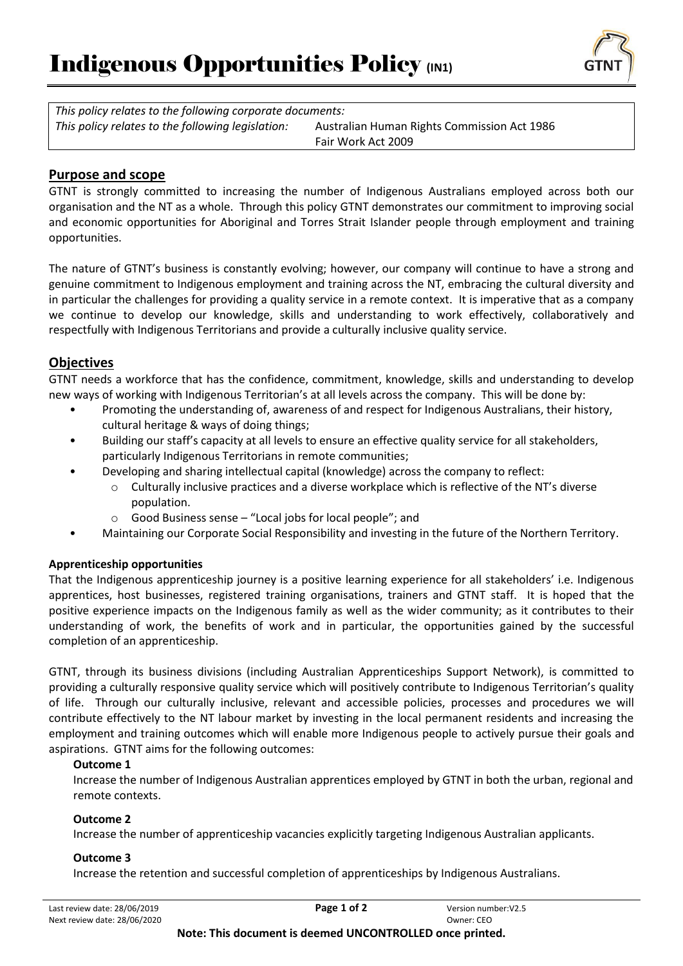

*This policy relates to the following corporate documents: This policy relates to the following legislation:* Australian Human Rights Commission Act 1986

Fair Work Act 2009

## **Purpose and scope**

GTNT is strongly committed to increasing the number of Indigenous Australians employed across both our organisation and the NT as a whole. Through this policy GTNT demonstrates our commitment to improving social and economic opportunities for Aboriginal and Torres Strait Islander people through employment and training opportunities.

The nature of GTNT's business is constantly evolving; however, our company will continue to have a strong and genuine commitment to Indigenous employment and training across the NT, embracing the cultural diversity and in particular the challenges for providing a quality service in a remote context. It is imperative that as a company we continue to develop our knowledge, skills and understanding to work effectively, collaboratively and respectfully with Indigenous Territorians and provide a culturally inclusive quality service.

# **Objectives**

GTNT needs a workforce that has the confidence, commitment, knowledge, skills and understanding to develop new ways of working with Indigenous Territorian's at all levels across the company. This will be done by:

- Promoting the understanding of, awareness of and respect for Indigenous Australians, their history, cultural heritage & ways of doing things;
- Building our staff's capacity at all levels to ensure an effective quality service for all stakeholders, particularly Indigenous Territorians in remote communities;
- Developing and sharing intellectual capital (knowledge) across the company to reflect:
	- o Culturally inclusive practices and a diverse workplace which is reflective of the NT's diverse population.
	- o Good Business sense "Local jobs for local people"; and
- Maintaining our Corporate Social Responsibility and investing in the future of the Northern Territory.

### **Apprenticeship opportunities**

That the Indigenous apprenticeship journey is a positive learning experience for all stakeholders' i.e. Indigenous apprentices, host businesses, registered training organisations, trainers and GTNT staff. It is hoped that the positive experience impacts on the Indigenous family as well as the wider community; as it contributes to their understanding of work, the benefits of work and in particular, the opportunities gained by the successful completion of an apprenticeship.

GTNT, through its business divisions (including Australian Apprenticeships Support Network), is committed to providing a culturally responsive quality service which will positively contribute to Indigenous Territorian's quality of life. Through our culturally inclusive, relevant and accessible policies, processes and procedures we will contribute effectively to the NT labour market by investing in the local permanent residents and increasing the employment and training outcomes which will enable more Indigenous people to actively pursue their goals and aspirations. GTNT aims for the following outcomes:

### **Outcome 1**

Increase the number of Indigenous Australian apprentices employed by GTNT in both the urban, regional and remote contexts.

### **Outcome 2**

Increase the number of apprenticeship vacancies explicitly targeting Indigenous Australian applicants.

### **Outcome 3**

Increase the retention and successful completion of apprenticeships by Indigenous Australians.